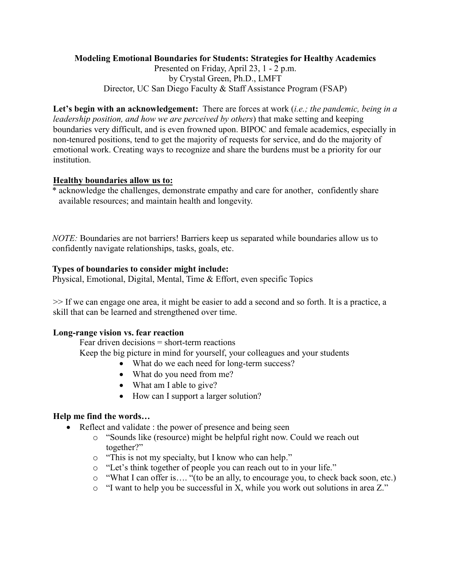# **Modeling Emotional Boundaries for Students: Strategies for Healthy Academics**

Presented on Friday, April 23, 1 - 2 p.m. by Crystal Green, Ph.D., LMFT Director, UC San Diego Faculty & Staff Assistance Program (FSAP)

**Let's begin with an acknowledgement:** There are forces at work (*i.e.; the pandemic, being in a leadership position, and how we are perceived by others*) that make setting and keeping boundaries very difficult, and is even frowned upon. BIPOC and female academics, especially in non-tenured positions, tend to get the majority of requests for service, and do the majority of emotional work. Creating ways to recognize and share the burdens must be a priority for our institution.

#### **Healthy boundaries allow us to:**

\* acknowledge the challenges, demonstrate empathy and care for another, confidently share available resources; and maintain health and longevity.

*NOTE:* Boundaries are not barriers! Barriers keep us separated while boundaries allow us to confidently navigate relationships, tasks, goals, etc.

#### **Types of boundaries to consider might include:**

Physical, Emotional, Digital, Mental, Time & Effort, even specific Topics

>> If we can engage one area, it might be easier to add a second and so forth. It is a practice, a skill that can be learned and strengthened over time.

#### **Long-range vision vs. fear reaction**

Fear driven decisions = short-term reactions

Keep the big picture in mind for yourself, your colleagues and your students

- What do we each need for long-term success?
- What do you need from me?
- What am I able to give?
- How can I support a larger solution?

#### **Help me find the words…**

- Reflect and validate : the power of presence and being seen
	- o "Sounds like (resource) might be helpful right now. Could we reach out together?"
	- o "This is not my specialty, but I know who can help."
	- o "Let's think together of people you can reach out to in your life."
	- o "What I can offer is…. "(to be an ally, to encourage you, to check back soon, etc.)
	- o "I want to help you be successful in X, while you work out solutions in area Z."